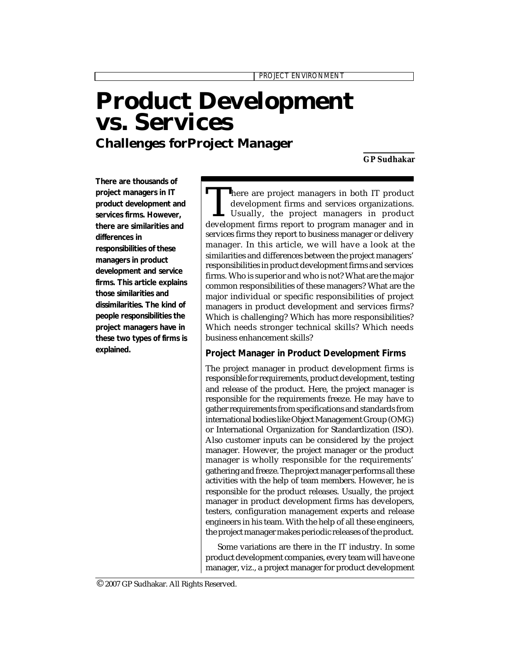# **Product Development vs. Services**

**Challenges forProject Manager**

**GP Sudhakar**

**There are thousands of project managers in IT product development and services firms. However, there are similarities and differences in responsibilities of these managers in product development and service firms. This article explains those similarities and dissimilarities. The kind of people responsibilities the project managers have in these two types of firms is explained.**

There are project managers in both IT product<br>development firms and services organizations.<br>Usually, the project managers in product<br>development firms report to program manager and in **There are project managers in both IT product** development firms and services organizations. Usually, the project managers in product services firms they report to business manager or delivery manager. In this article, we will have a look at the similarities and differences between the project managers' responsibilities in product development firms and services firms. Who is superior and who is not? What are the major common responsibilities of these managers? What are the major individual or specific responsibilities of project managers in product development and services firms? Which is challenging? Which has more responsibilities? Which needs stronger technical skills? Which needs business enhancement skills?

## **Project Manager in Product Development Firms**

The project manager in product development firms is responsible for requirements, product development, testing and release of the product. Here, the project manager is responsible for the requirements freeze. He may have to gather requirements from specifications and standards from international bodies like Object Management Group (OMG) or International Organization for Standardization (ISO). Also customer inputs can be considered by the project manager. However, the project manager or the product manager is wholly responsible for the requirements' gathering and freeze. The project manager performs all these activities with the help of team members. However, he is responsible for the product releases. Usually, the project manager in product development firms has developers, testers, configuration management experts and release engineers in his team. With the help of all these engineers, the project manager makes periodic releases of the product.

Some variations are there in the IT industry. In some product development companies, every team will have one manager, viz., a project manager for product development

 $\odot$  2007 GP Sudhakar. All Rights Reserved.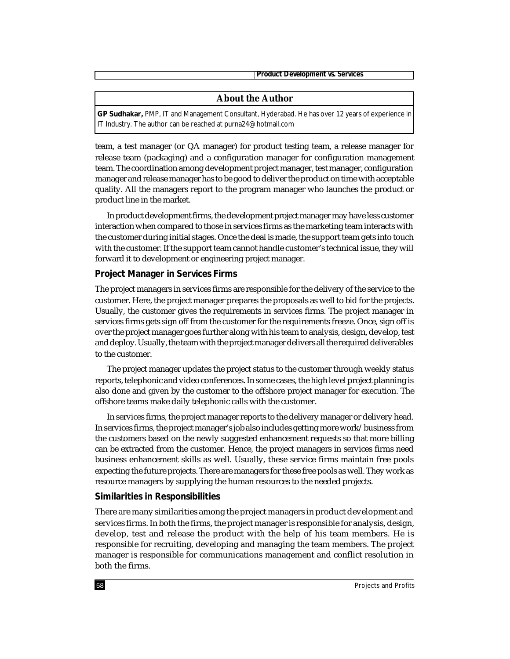*Product Development vs. Services*

#### **About the Author**

**GP Sudhakar,** PMP, IT and Management Consultant, Hyderabad. He has over 12 years of experience in IT Industry. The author can be reached at purna24@hotmail.com

team, a test manager (or QA manager) for product testing team, a release manager for release team (packaging) and a configuration manager for configuration management team. The coordination among development project manager, test manager, configuration manager and release manager has to be good to deliver the product on time with acceptable quality. All the managers report to the program manager who launches the product or product line in the market.

In product development firms, the development project manager may have less customer interaction when compared to those in services firms as the marketing team interacts with the customer during initial stages. Once the deal is made, the support team gets into touch with the customer. If the support team cannot handle customer's technical issue, they will forward it to development or engineering project manager.

#### **Project Manager in Services Firms**

The project managers in services firms are responsible for the delivery of the service to the customer. Here, the project manager prepares the proposals as well to bid for the projects. Usually, the customer gives the requirements in services firms. The project manager in services firms gets sign off from the customer for the requirements freeze. Once, sign off is over the project manager goes further along with his team to analysis, design, develop, test and deploy. Usually, the team with the project manager delivers all the required deliverables to the customer.

The project manager updates the project status to the customer through weekly status reports, telephonic and video conferences. In some cases, the high level project planning is also done and given by the customer to the offshore project manager for execution. The offshore teams make daily telephonic calls with the customer.

In services firms, the project manager reports to the delivery manager or delivery head. In services firms, the project manager's job also includes getting more work/business from the customers based on the newly suggested enhancement requests so that more billing can be extracted from the customer. Hence, the project managers in services firms need business enhancement skills as well. Usually, these service firms maintain free pools expecting the future projects. There are managers for these free pools as well. They work as resource managers by supplying the human resources to the needed projects.

### **Similarities in Responsibilities**

There are many similarities among the project managers in product development and services firms. In both the firms, the project manager is responsible for analysis, design, develop, test and release the product with the help of his team members. He is responsible for recruiting, developing and managing the team members. The project manager is responsible for communications management and conflict resolution in both the firms.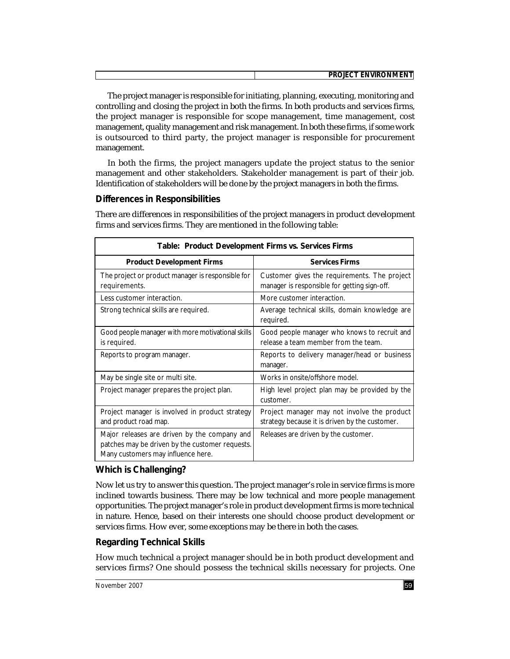| <br>------- |
|-------------|
|-------------|

The project manager is responsible for initiating, planning, executing, monitoring and controlling and closing the project in both the firms. In both products and services firms, the project manager is responsible for scope management, time management, cost management, quality management and risk management. In both these firms, if some work is outsourced to third party, the project manager is responsible for procurement management.

In both the firms, the project managers update the project status to the senior management and other stakeholders. Stakeholder management is part of their job. Identification of stakeholders will be done by the project managers in both the firms.

## **Differences in Responsibilities**

There are differences in responsibilities of the project managers in product development firms and services firms. They are mentioned in the following table:

| Table: Product Development Firms vs. Services Firms                                                                                   |                                                                                               |  |  |  |
|---------------------------------------------------------------------------------------------------------------------------------------|-----------------------------------------------------------------------------------------------|--|--|--|
| <b>Product Development Firms</b>                                                                                                      | <b>Services Firms</b>                                                                         |  |  |  |
| The project or product manager is responsible for<br>requirements.                                                                    | Customer gives the requirements. The project<br>manager is responsible for getting sign-off.  |  |  |  |
| Less customer interaction.                                                                                                            | More customer interaction.                                                                    |  |  |  |
| Strong technical skills are required.                                                                                                 | Average technical skills, domain knowledge are<br>required.                                   |  |  |  |
| Good people manager with more motivational skills<br>is required.                                                                     | Good people manager who knows to recruit and<br>release a team member from the team.          |  |  |  |
| Reports to program manager.                                                                                                           | Reports to delivery manager/head or business<br>manager.                                      |  |  |  |
| May be single site or multi site.                                                                                                     | Works in onsite/offshore model.                                                               |  |  |  |
| Project manager prepares the project plan.                                                                                            | High level project plan may be provided by the<br>customer.                                   |  |  |  |
| Project manager is involved in product strategy<br>and product road map.                                                              | Project manager may not involve the product<br>strategy because it is driven by the customer. |  |  |  |
| Major releases are driven by the company and<br>patches may be driven by the customer requests.<br>Many customers may influence here. | Releases are driven by the customer.                                                          |  |  |  |

## **Which is Challenging?**

Now let us try to answer this question. The project manager's role in service firms is more inclined towards business. There may be low technical and more people management opportunities. The project manager's role in product development firms is more technical in nature. Hence, based on their interests one should choose product development or services firms. How ever, some exceptions may be there in both the cases.

## **Regarding Technical Skills**

How much technical a project manager should be in both product development and services firms? One should possess the technical skills necessary for projects. One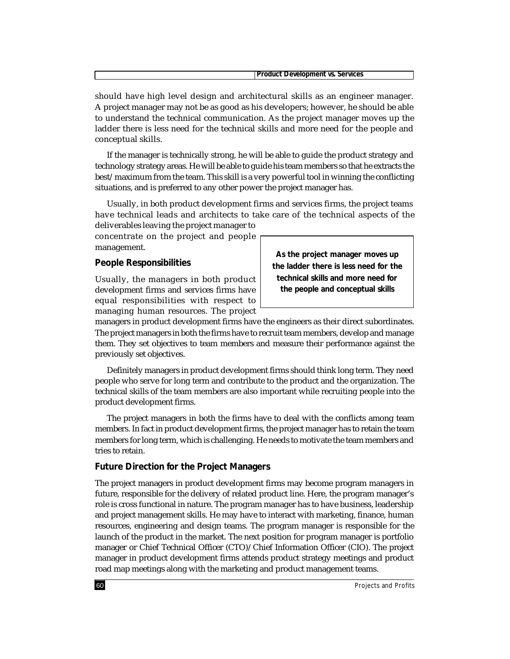|  |  |  | <b>Product Development vs. Services</b> |
|--|--|--|-----------------------------------------|
|  |  |  |                                         |

should have high level design and architectural skills as an engineer manager. A project manager may not be as good as his developers; however, he should be able to understand the technical communication. As the project manager moves up the ladder there is less need for the technical skills and more need for the people and conceptual skills.

If the manager is technically strong, he will be able to guide the product strategy and technology strategy areas. He will be able to guide his team members so that he extracts the best/maximum from the team. This skill is a very powerful tool in winning the conflicting situations, and is preferred to any other power the project manager has.

Usually, in both product development firms and services firms, the project teams have technical leads and architects to take care of the technical aspects of the deliverables leaving the project manager to

concentrate on the project and people management.

### **People Responsibilities**

Usually, the managers in both product development firms and services firms have equal responsibilities with respect to managing human resources. The project

**As the project manager moves up the ladder there is less need for the technical skills and more need for the people and conceptual skills**

managers in product development firms have the engineers as their direct subordinates. The project managers in both the firms have to recruit team members, develop and manage them. They set objectives to team members and measure their performance against the previously set objectives.

Definitely managers in product development firms should think long term. They need people who serve for long term and contribute to the product and the organization. The technical skills of the team members are also important while recruiting people into the product development firms.

The project managers in both the firms have to deal with the conflicts among team members. In fact in product development firms, the project manager has to retain the team members for long term, which is challenging. He needs to motivate the team members and tries to retain.

## **Future Direction for the Project Managers**

The project managers in product development firms may become program managers in future, responsible for the delivery of related product line. Here, the program manager's role is cross functional in nature. The program manager has to have business, leadership and project management skills. He may have to interact with marketing, finance, human resources, engineering and design teams. The program manager is responsible for the launch of the product in the market. The next position for program manager is portfolio manager or Chief Technical Officer (CTO)/Chief Information Officer (CIO). The project manager in product development firms attends product strategy meetings and product road map meetings along with the marketing and product management teams.